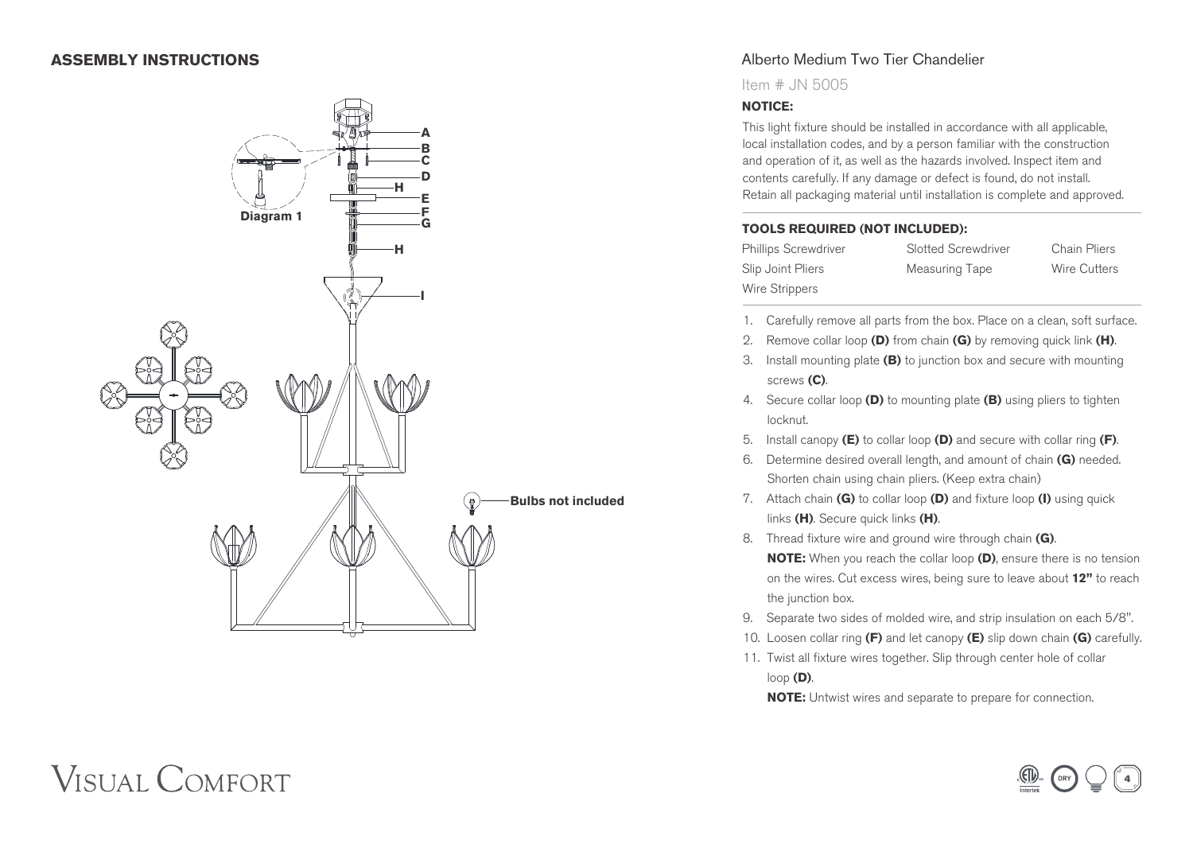## **ASSEMBLY INSTRUCTIONS**



## Alberto Medium Two Tier Chandelier

Item # JN 5005

#### **NOTICE:**

This light fixture should be installed in accordance with all applicable, local installation codes, and by a person familiar with the construction and operation of it, as well as the hazards involved. Inspect item and contents carefully. If any damage or defect is found, do not install. Retain all packaging material until installation is complete and approved.

#### **TOOLS REQUIRED (NOT INCLUDED):**

| <b>Phillips Screwdriver</b> | Slot |
|-----------------------------|------|
| Slip Joint Pliers           | Меа  |
| Wire Strippers              |      |

**Phillips Screwdriver** Chain Pliers asuring Tape **Wire Cutters** 

- 1. Carefully remove all parts from the box. Place on a clean, soft surface.
- 2. Remove collar loop **(D)** from chain **(G)** by removing quick link **(H)**.
- 3. Install mounting plate **(B)** to junction box and secure with mounting screws **(C)**.
- 4. Secure collar loop **(D)** to mounting plate **(B)** using pliers to tighten locknut.
- 5. Install canopy **(E)** to collar loop **(D)** and secure with collar ring **(F)**.
- 6. Determine desired overall length, and amount of chain **(G)** needed. Shorten chain using chain pliers. (Keep extra chain)
- 7. Attach chain **(G)** to collar loop **(D)** and fixture loop **(I)** using quick links **(H)**. Secure quick links **(H)**.
- 8. Thread fixture wire and ground wire through chain **(G)**.  **NOTE:** When you reach the collar loop **(D)**, ensure there is no tension on the wires. Cut excess wires, being sure to leave about **12"** to reach the junction box.
- 9. Separate two sides of molded wire, and strip insulation on each 5/8".
- 10. Loosen collar ring **(F)** and let canopy **(E)** slip down chain **(G)** carefully.
- 11. Twist all fixture wires together. Slip through center hole of collar loop **(D)**.

 **NOTE:** Untwist wires and separate to prepare for connection.